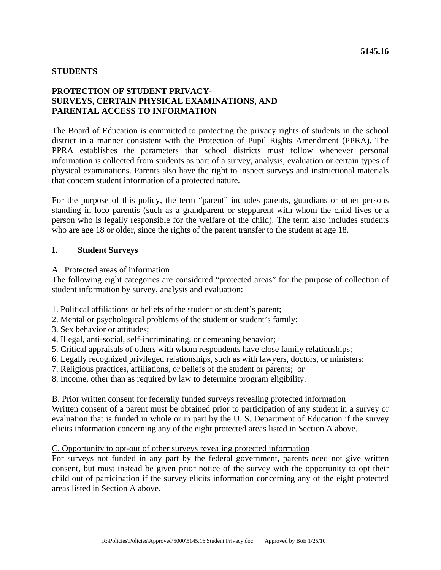### **STUDENTS**

# **PROTECTION OF STUDENT PRIVACY-SURVEYS, CERTAIN PHYSICAL EXAMINATIONS, AND PARENTAL ACCESS TO INFORMATION**

The Board of Education is committed to protecting the privacy rights of students in the school district in a manner consistent with the Protection of Pupil Rights Amendment (PPRA). The PPRA establishes the parameters that school districts must follow whenever personal information is collected from students as part of a survey, analysis, evaluation or certain types of physical examinations. Parents also have the right to inspect surveys and instructional materials that concern student information of a protected nature.

For the purpose of this policy, the term "parent" includes parents, guardians or other persons standing in loco parentis (such as a grandparent or stepparent with whom the child lives or a person who is legally responsible for the welfare of the child). The term also includes students who are age 18 or older, since the rights of the parent transfer to the student at age 18.

### **I. Student Surveys**

### A. Protected areas of information

The following eight categories are considered "protected areas" for the purpose of collection of student information by survey, analysis and evaluation:

- 1. Political affiliations or beliefs of the student or student's parent;
- 2. Mental or psychological problems of the student or student's family;
- 3. Sex behavior or attitudes;
- 4. Illegal, anti-social, self-incriminating, or demeaning behavior;
- 5. Critical appraisals of others with whom respondents have close family relationships;
- 6. Legally recognized privileged relationships, such as with lawyers, doctors, or ministers;
- 7. Religious practices, affiliations, or beliefs of the student or parents; or
- 8. Income, other than as required by law to determine program eligibility.

### B. Prior written consent for federally funded surveys revealing protected information

Written consent of a parent must be obtained prior to participation of any student in a survey or evaluation that is funded in whole or in part by the U. S. Department of Education if the survey elicits information concerning any of the eight protected areas listed in Section A above.

### C. Opportunity to opt-out of other surveys revealing protected information

For surveys not funded in any part by the federal government, parents need not give written consent, but must instead be given prior notice of the survey with the opportunity to opt their child out of participation if the survey elicits information concerning any of the eight protected areas listed in Section A above.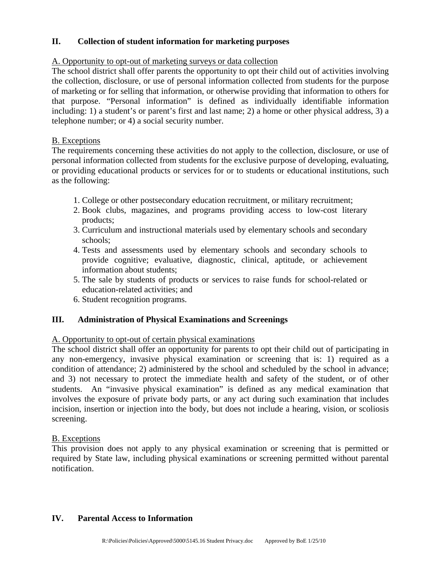# **II. Collection of student information for marketing purposes**

# A. Opportunity to opt-out of marketing surveys or data collection

The school district shall offer parents the opportunity to opt their child out of activities involving the collection, disclosure, or use of personal information collected from students for the purpose of marketing or for selling that information, or otherwise providing that information to others for that purpose. "Personal information" is defined as individually identifiable information including: 1) a student's or parent's first and last name; 2) a home or other physical address, 3) a telephone number; or 4) a social security number.

## B. Exceptions

The requirements concerning these activities do not apply to the collection, disclosure, or use of personal information collected from students for the exclusive purpose of developing, evaluating, or providing educational products or services for or to students or educational institutions, such as the following:

- 1. College or other postsecondary education recruitment, or military recruitment;
- 2. Book clubs, magazines, and programs providing access to low-cost literary products;
- 3. Curriculum and instructional materials used by elementary schools and secondary schools;
- 4. Tests and assessments used by elementary schools and secondary schools to provide cognitive; evaluative, diagnostic, clinical, aptitude, or achievement information about students;
- 5. The sale by students of products or services to raise funds for school-related or education-related activities; and
- 6. Student recognition programs.

## **III. Administration of Physical Examinations and Screenings**

## A. Opportunity to opt-out of certain physical examinations

The school district shall offer an opportunity for parents to opt their child out of participating in any non-emergency, invasive physical examination or screening that is: 1) required as a condition of attendance; 2) administered by the school and scheduled by the school in advance; and 3) not necessary to protect the immediate health and safety of the student, or of other students. An "invasive physical examination" is defined as any medical examination that involves the exposure of private body parts, or any act during such examination that includes incision, insertion or injection into the body, but does not include a hearing, vision, or scoliosis screening.

## B. Exceptions

This provision does not apply to any physical examination or screening that is permitted or required by State law, including physical examinations or screening permitted without parental notification.

# **IV. Parental Access to Information**